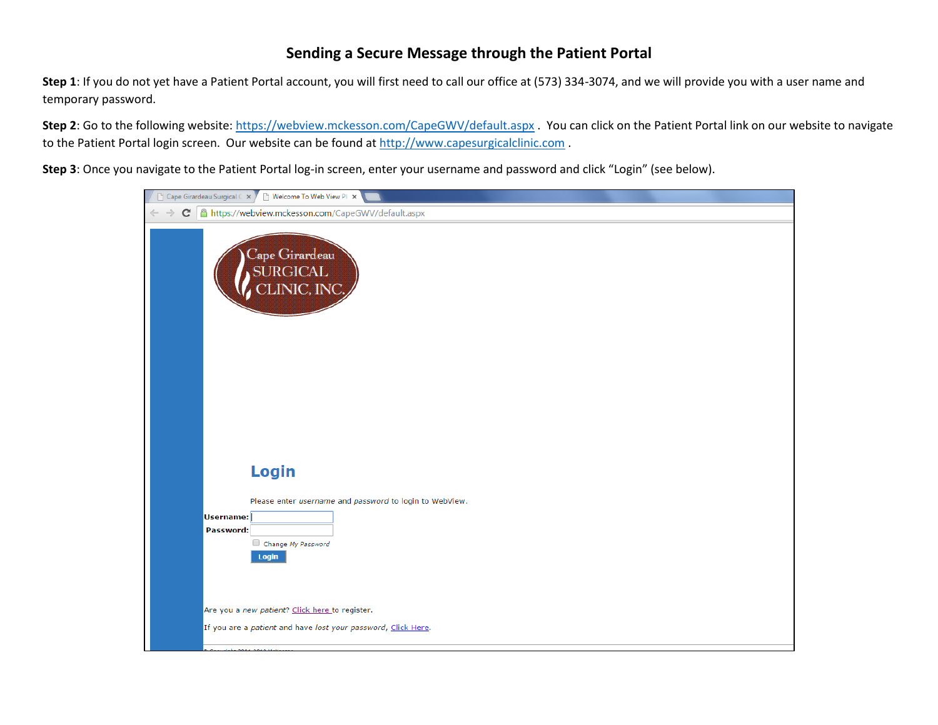## **Sending a Secure Message through the Patient Portal**

**Step 1**: If you do not yet have a Patient Portal account, you will first need to call our office at (573) 334-3074, and we will provide you with a user name and temporary password.

Step 2: Go to the following website:<https://webview.mckesson.com/CapeGWV/default.aspx> . You can click on the Patient Portal link on our website to navigate to the Patient Portal login screen. Our website can be found at [http://www.capesurgicalclinic.com](http://www.capesurgicalclinic.com/) .

**Step 3**: Once you navigate to the Patient Portal log-in screen, enter your username and password and click "Login" (see below).

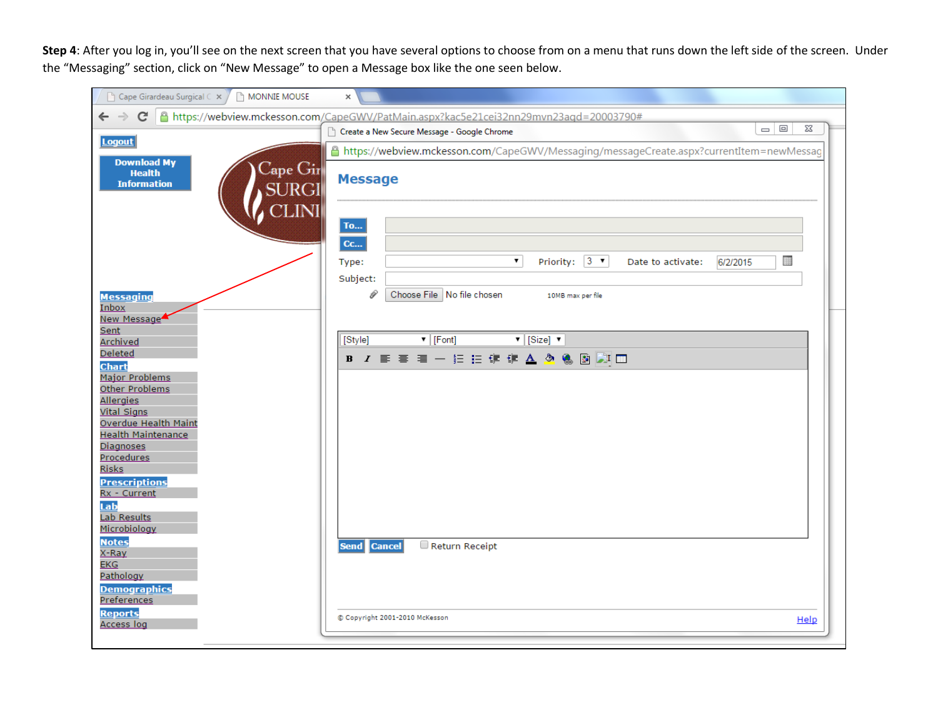Step 4: After you log in, you'll see on the next screen that you have several options to choose from on a menu that runs down the left side of the screen. Under the "Messaging" section, click on "New Message" to open a Message box like the one seen below.

| MONNIE MOUSE<br>$\bigcap$ Cape Girardeau Surgical $\subset \times$ /                                                                                                                                                                                                                                                      | ×                                                                                                                                                                         |  |
|---------------------------------------------------------------------------------------------------------------------------------------------------------------------------------------------------------------------------------------------------------------------------------------------------------------------------|---------------------------------------------------------------------------------------------------------------------------------------------------------------------------|--|
| $\leftarrow$ $\rightarrow$                                                                                                                                                                                                                                                                                                | @ https://webview.mckesson.com/CapeGWV/PatMain.aspx?kac5e21cei32nn29mvn23aqd=20003790#                                                                                    |  |
| <b>Logout</b>                                                                                                                                                                                                                                                                                                             | 23<br>- 0<br>Reate a New Secure Message - Google Chrome                                                                                                                   |  |
|                                                                                                                                                                                                                                                                                                                           | A https://webview.mckesson.com/CapeGWV/Messaging/messageCreate.aspx?currentItem=newMessag                                                                                 |  |
| <b>Download My</b><br>$\mathbb{C}% _{\mathbb{Z}_{+}}$ ape $\mathbb{C}_{\mathbb{Z}_{+}}$ r<br><b>Health</b><br><b>Information</b>                                                                                                                                                                                          | <b>Message</b>                                                                                                                                                            |  |
|                                                                                                                                                                                                                                                                                                                           | <b>To</b><br>cc<br>$\pmb{\mathrm{v}}$<br>Priority: $3 \times$<br>雦<br>Date to activate:<br>6/2/2015<br>Type:                                                              |  |
|                                                                                                                                                                                                                                                                                                                           | Subject:                                                                                                                                                                  |  |
| <b>Messaging</b><br>Inbox<br>New Message<br>Sent<br><b>Archived</b><br><b>Deleted</b><br><b>Chart</b><br><b>Major Problems</b><br>Other Problems<br><b>Allergies</b><br><b>Vital Signs</b><br><b>Overdue Health Maint</b><br><b>Health Maintenance</b><br>Diagnoses<br>Procedures<br><b>Risks</b><br><b>Prescriptions</b> | 0<br>Choose File   No file chosen<br>10MB max per file<br>$\overline{\mathbf{v}}$ [Font]<br>$\triangledown$ [Size] $\nabla$<br>[Style]<br>B Z 事 著 著 一 挂 挂 编 编 A 负 M 图 D 图 |  |
| Rx - Current<br>Lab<br>Lab Results<br>Microbiology<br><b>Notes</b><br>X-Ray<br><b>EKG</b><br>Pathology<br><b>Demographics</b><br>Preferences                                                                                                                                                                              | <b>Cancel</b><br>Return Receipt<br><b>Send</b>                                                                                                                            |  |
| <b>Reports</b><br><b>Access</b> log                                                                                                                                                                                                                                                                                       | C Copyright 2001-2010 McKesson<br>Help                                                                                                                                    |  |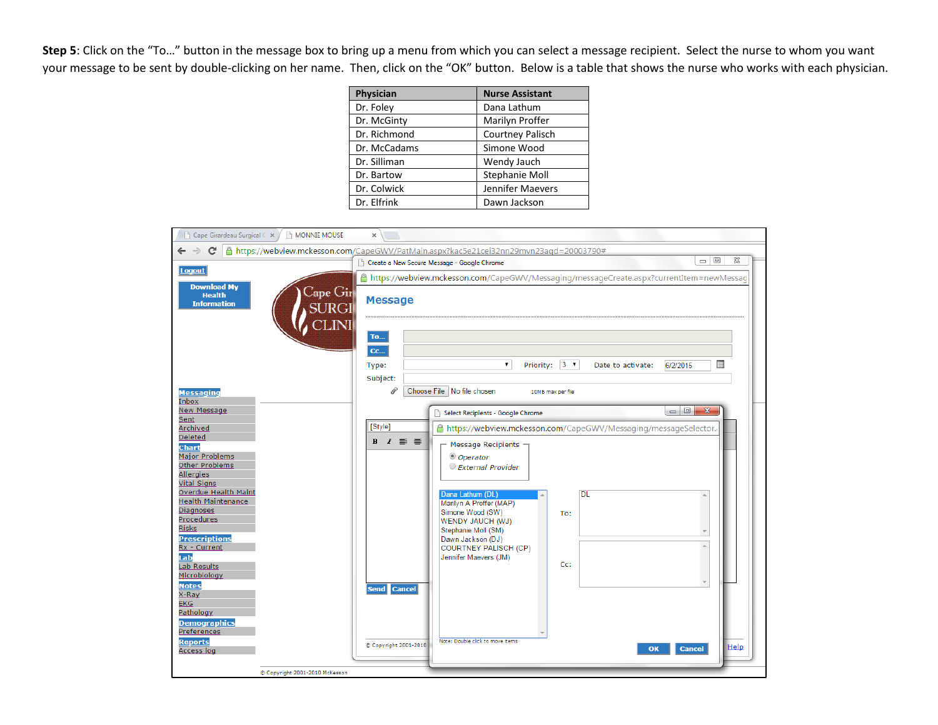**Step 5**: Click on the "To..." button in the message box to bring up a menu from which you can select a message recipient. Select the nurse to whom you want your message to be sent by double-clicking on her name. Then, click on the "OK" button. Below is a table that shows the nurse who works with each physician.

| Physician    | <b>Nurse Assistant</b>  |
|--------------|-------------------------|
| Dr. Foley    | Dana Lathum             |
| Dr. McGinty  | Marilyn Proffer         |
| Dr. Richmond | <b>Courtney Palisch</b> |
| Dr. McCadams | Simone Wood             |
| Dr. Silliman | Wendy Jauch             |
| Dr. Bartow   | Stephanie Moll          |
| Dr. Colwick  | Jennifer Maevers        |
| Dr. Elfrink  | Dawn Jackson            |

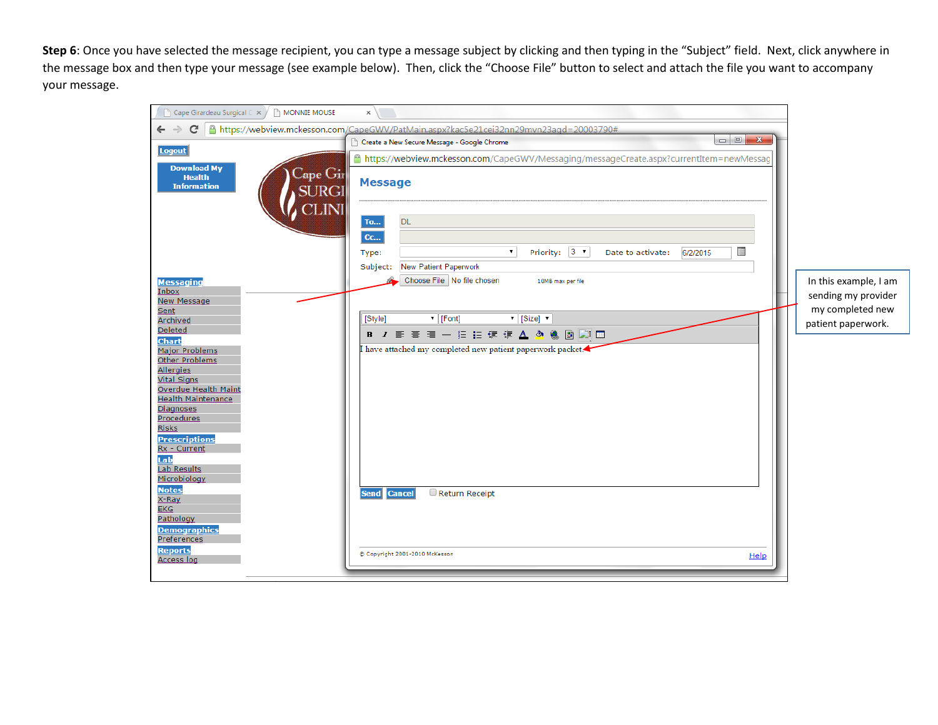Step 6: Once you have selected the message recipient, you can type a message subject by clicking and then typing in the "Subject" field. Next, click anywhere in the message box and then type your message (see example below). Then, click the "Choose File" button to select and attach the file you want to accompany your message.

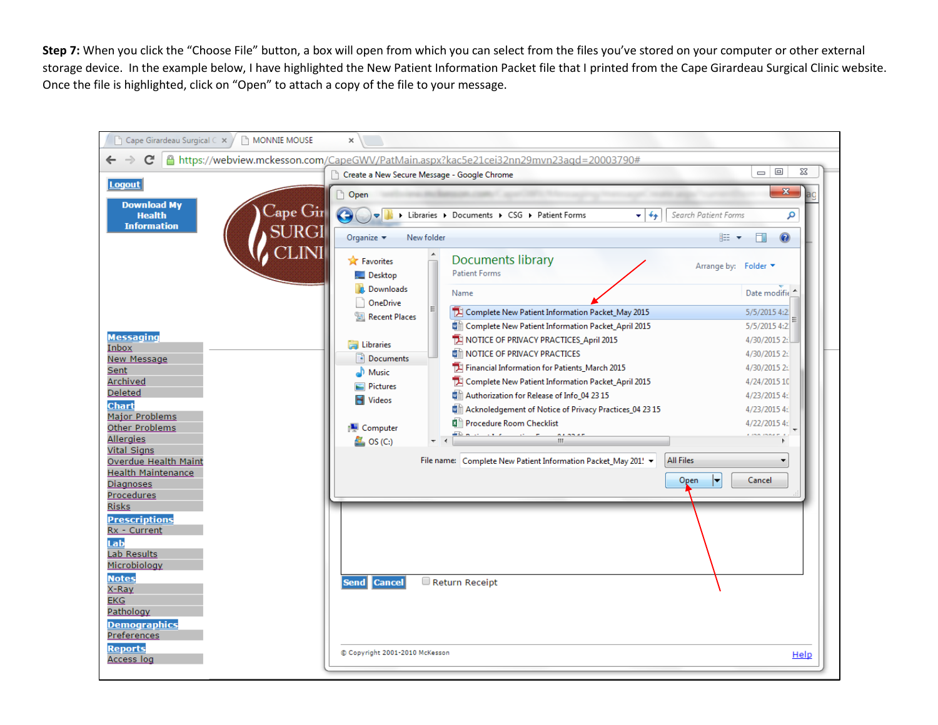Step 7: When you click the "Choose File" button, a box will open from which you can select from the files you've stored on your computer or other external storage device. In the example below, I have highlighted the New Patient Information Packet file that I printed from the Cape Girardeau Surgical Clinic website. Once the file is highlighted, click on "Open" to attach a copy of the file to your message.

| <b>THE MONNIE MOUSE</b><br>$\bigcap$ Cape Girardeau Surgical $\subset \times$ /                                                                                                                                                                                                                                                                                             | ×                                                                                                                                                                                                                                                                                                                                                                                                                                                                                                                                                                                                                                                                                                                                                                                                                                                                                                                            |                                                                                                                                                                                        |  |
|-----------------------------------------------------------------------------------------------------------------------------------------------------------------------------------------------------------------------------------------------------------------------------------------------------------------------------------------------------------------------------|------------------------------------------------------------------------------------------------------------------------------------------------------------------------------------------------------------------------------------------------------------------------------------------------------------------------------------------------------------------------------------------------------------------------------------------------------------------------------------------------------------------------------------------------------------------------------------------------------------------------------------------------------------------------------------------------------------------------------------------------------------------------------------------------------------------------------------------------------------------------------------------------------------------------------|----------------------------------------------------------------------------------------------------------------------------------------------------------------------------------------|--|
| c                                                                                                                                                                                                                                                                                                                                                                           | Ahttps://webview.mckesson.com/CapeGWV/PatMain.aspx?kac5e21cei32nn29mvn23agd=20003790#                                                                                                                                                                                                                                                                                                                                                                                                                                                                                                                                                                                                                                                                                                                                                                                                                                        |                                                                                                                                                                                        |  |
| <b>Logout</b>                                                                                                                                                                                                                                                                                                                                                               | Create a New Secure Message - Google Chrome                                                                                                                                                                                                                                                                                                                                                                                                                                                                                                                                                                                                                                                                                                                                                                                                                                                                                  | $\Box$<br>23<br>$\Box$                                                                                                                                                                 |  |
| <b>Download My</b><br>Cape Gir<br><b>Health</b><br><b>Information</b><br><b>SURG</b><br><b>Messaging</b><br>Inbox<br>New Message<br>Sent<br>Archived<br><b>Deleted</b><br><b>Chart</b><br><b>Major Problems</b><br>Other Problems<br><b>Allergies</b><br><b>Vital Signs</b><br>Overdue Health Maint<br><b>Health Maintenance</b><br>Diagnoses<br>Procedures<br><b>Risks</b> | $\mathbf{x}$<br>Open<br>$\bigodot$<br>> Libraries > Documents > CSG > Patient Forms<br>Search Patient Forms<br>$\mathbf{v}$ $\mathbf{t}$<br>م                                                                                                                                                                                                                                                                                                                                                                                                                                                                                                                                                                                                                                                                                                                                                                                |                                                                                                                                                                                        |  |
|                                                                                                                                                                                                                                                                                                                                                                             | New folder<br>Organize $\blacktriangledown$<br>胆 ▼<br>$\blacktriangle$<br><b>Documents library</b><br><b>X</b> Favorites<br>Arrange by: Folder ▼<br><b>Patient Forms</b><br><b>Desktop</b><br>Downloads<br>Name<br>OneDrive<br>Complete New Patient Information Packet_May 2015<br>圖 Recent Places<br>· gill Complete New Patient Information Packet_April 2015<br>NOTICE OF PRIVACY PRACTICES_April 2015<br><b>Exp</b> Libraries<br><b>DE NOTICE OF PRIVACY PRACTICES</b><br>Documents<br>Financial Information for Patients_March 2015<br>Music<br>Complete New Patient Information Packet_April 2015<br>Pictures<br>Authorization for Release of Info_04 23 15<br>Videos<br>Acknoledgement of Notice of Privacy Practices_04 23 15<br>x<br>Procedure Room Checklist<br>Computer<br>and a state of<br>$\frac{dx}{dx}$ OS (C:)<br><b>All Files</b><br>File name: Complete New Patient Information Packet_May 201! ▼<br>Open | $\odot$<br>Ħ<br>Date modifie<br>5/5/2015 4:2<br>5/5/2015 4:2<br>4/30/2015 2:<br>4/30/2015 2:<br>4/30/2015 2:<br>4/24/2015 10<br>4/23/2015 4:<br>4/23/2015 4:<br>4/22/2015 4:<br>Cancel |  |
| <b>Prescriptions</b><br>Rx - Current<br>Lab<br>Lab Results<br>Microbiology<br><b>Notes</b><br>X-Ray<br><b>EKG</b><br>Pathology<br><b>Demographics</b><br>Preferences<br><b>Reports</b><br><b>Access</b> log                                                                                                                                                                 | <b>Cancel</b><br>Return Receipt<br><b>Send</b><br>C Copyright 2001-2010 McKesson                                                                                                                                                                                                                                                                                                                                                                                                                                                                                                                                                                                                                                                                                                                                                                                                                                             | Help                                                                                                                                                                                   |  |